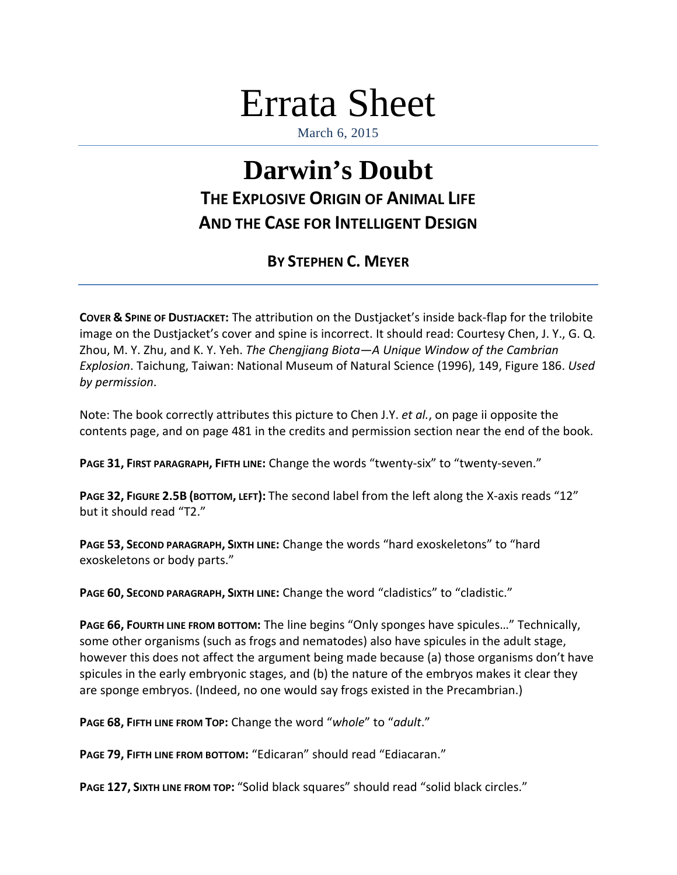## Errata Sheet

March 6, 2015

## **Darwin's Doubt THE EXPLOSIVE ORIGIN OF ANIMAL LIFE AND THE CASE FOR INTELLIGENT DESIGN**

## **BY STEPHEN C. MEYER**

**COVER & SPINE OF DUSTJACKET:** The attribution on the Dustjacket's inside back-flap for the trilobite image on the Dustjacket's cover and spine is incorrect. It should read: Courtesy Chen, J. Y., G. Q. Zhou, M. Y. Zhu, and K. Y. Yeh. *The Chengjiang Biota—A Unique Window of the Cambrian Explosion*. Taichung, Taiwan: National Museum of Natural Science (1996), 149, Figure 186. *Used by permission*.

Note: The book correctly attributes this picture to Chen J.Y. *et al.*, on page ii opposite the contents page, and on page 481 in the credits and permission section near the end of the book.

**PAGE 31, FIRST PARAGRAPH, FIFTH LINE:** Change the words "twenty-six" to "twenty-seven."

**PAGE 32, FIGURE 2.5B (BOTTOM, LEFT):** The second label from the left along the X-axis reads "12" but it should read "T2."

**PAGE 53, SECOND PARAGRAPH, SIXTH LINE:** Change the words "hard exoskeletons" to "hard exoskeletons or body parts."

**PAGE 60, SECOND PARAGRAPH, SIXTH LINE:** Change the word "cladistics" to "cladistic."

**PAGE 66, FOURTH LINE FROM BOTTOM:** The line begins "Only sponges have spicules…" Technically, some other organisms (such as frogs and nematodes) also have spicules in the adult stage, however this does not affect the argument being made because (a) those organisms don't have spicules in the early embryonic stages, and (b) the nature of the embryos makes it clear they are sponge embryos. (Indeed, no one would say frogs existed in the Precambrian.)

**PAGE 68, FIFTH LINE FROM TOP:** Change the word "*whole*" to "*adult*."

**PAGE 79, FIFTH LINE FROM BOTTOM:** "Edicaran" should read "Ediacaran."

**PAGE 127, SIXTH LINE FROM TOP:** "Solid black squares" should read "solid black circles."